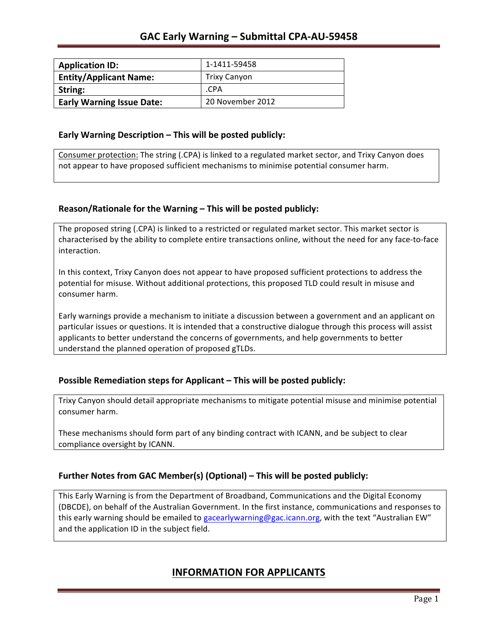| <b>Application ID:</b>           | 1-1411-59458        |
|----------------------------------|---------------------|
| <b>Entity/Applicant Name:</b>    | <b>Trixy Canyon</b> |
| String:                          | .CPA                |
| <b>Early Warning Issue Date:</b> | 20 November 2012    |

### **Early Warning Description – This will be posted publicly:**

Consumer protection: The string (.CPA) is linked to a regulated market sector, and Trixy Canyon does not appear to have proposed sufficient mechanisms to minimise potential consumer harm.

### **Reason/Rationale for the Warning – This will be posted publicly:**

The proposed string (.CPA) is linked to a restricted or regulated market sector. This market sector is characterised by the ability to complete entire transactions online, without the need for any face-to-face interaction.

In this context, Trixy Canyon does not appear to have proposed sufficient protections to address the potential for misuse. Without additional protections, this proposed TLD could result in misuse and consumer harm.

Early warnings provide a mechanism to initiate a discussion between a government and an applicant on particular issues or questions. It is intended that a constructive dialogue through this process will assist applicants to better understand the concerns of governments, and help governments to better understand the planned operation of proposed gTLDs.

### **Possible Remediation steps for Applicant – This will be posted publicly:**

Trixy Canyon should detail appropriate mechanisms to mitigate potential misuse and minimise potential consumer harm.

These mechanisms should form part of any binding contract with ICANN, and be subject to clear compliance oversight by ICANN.

### **Further Notes from GAC Member(s) (Optional)** – This will be posted publicly:

This Early Warning is from the Department of Broadband, Communications and the Digital Economy (DBCDE), on behalf of the Australian Government. In the first instance, communications and responses to this early warning should be emailed to gacearlywarning@gac.icann.org, with the text "Australian EW" and the application ID in the subject field.

### **INFORMATION FOR APPLICANTS**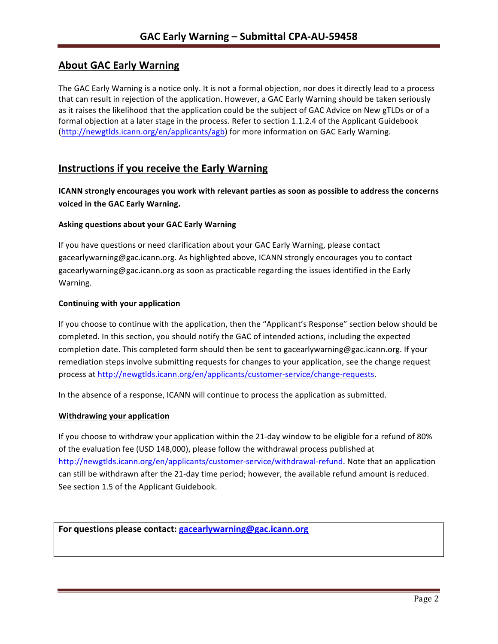# **About GAC Early Warning**

The GAC Early Warning is a notice only. It is not a formal objection, nor does it directly lead to a process that can result in rejection of the application. However, a GAC Early Warning should be taken seriously as it raises the likelihood that the application could be the subject of GAC Advice on New gTLDs or of a formal objection at a later stage in the process. Refer to section 1.1.2.4 of the Applicant Guidebook (http://newgtlds.icann.org/en/applicants/agb) for more information on GAC Early Warning.

## **Instructions if you receive the Early Warning**

**ICANN** strongly encourages you work with relevant parties as soon as possible to address the concerns **voiced in the GAC Early Warning.** 

### **Asking questions about your GAC Early Warning**

If you have questions or need clarification about your GAC Early Warning, please contact gacearlywarning@gac.icann.org. As highlighted above, ICANN strongly encourages you to contact gacearlywarning@gac.icann.org as soon as practicable regarding the issues identified in the Early Warning. 

### **Continuing with your application**

If you choose to continue with the application, then the "Applicant's Response" section below should be completed. In this section, you should notify the GAC of intended actions, including the expected completion date. This completed form should then be sent to gacearlywarning@gac.icann.org. If your remediation steps involve submitting requests for changes to your application, see the change request process at http://newgtlds.icann.org/en/applicants/customer-service/change-requests.

In the absence of a response, ICANN will continue to process the application as submitted.

### **Withdrawing your application**

If you choose to withdraw your application within the 21-day window to be eligible for a refund of 80% of the evaluation fee (USD 148,000), please follow the withdrawal process published at http://newgtlds.icann.org/en/applicants/customer-service/withdrawal-refund. Note that an application can still be withdrawn after the 21-day time period; however, the available refund amount is reduced. See section 1.5 of the Applicant Guidebook.

```
For questions please contact: gacearlywarning@gac.icann.org
```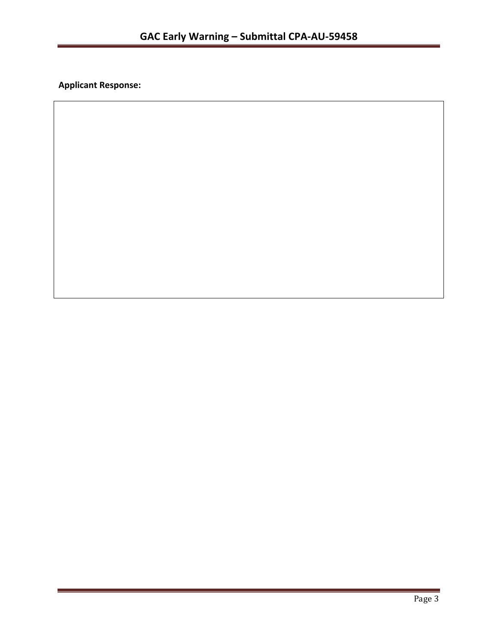**Applicant Response:**